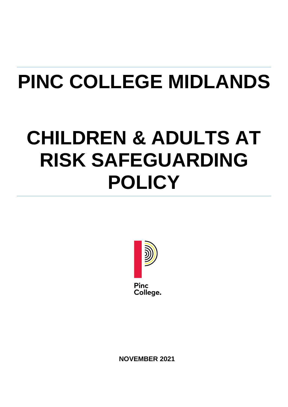# **PINC COLLEGE MIDLANDS**

## **CHILDREN & ADULTS AT RISK SAFEGUARDING POLICY**



**NOVEMBER 2021**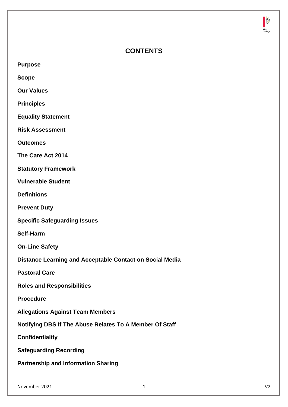

## **CONTENTS**

**Purpose**

**Scope**

**Our Values**

**Principles**

**Equality Statement**

**Risk Assessment**

**Outcomes**

**The Care Act 2014**

**Statutory Framework**

**Vulnerable Student**

**Definitions**

**Prevent Duty**

**Specific Safeguarding Issues**

**Self-Harm**

**On-Line Safety**

**Distance Learning and Acceptable Contact on Social Media**

**Pastoral Care**

**Roles and Responsibilities**

**Procedure**

**Allegations Against Team Members**

**Notifying DBS If The Abuse Relates To A Member Of Staff**

**Confidentiality**

**Safeguarding Recording**

**Partnership and Information Sharing**

November 2021 1 V2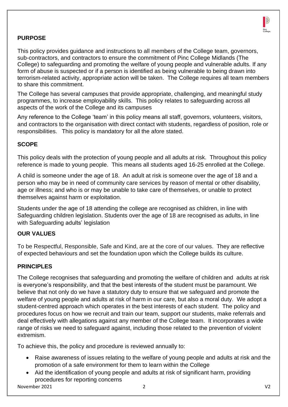

## **PURPOSE**

This policy provides guidance and instructions to all members of the College team, governors, sub-contractors, and contractors to ensure the commitment of Pinc College Midlands (The College) to safeguarding and promoting the welfare of young people and vulnerable adults. If any form of abuse is suspected or if a person is identified as being vulnerable to being drawn into terrorism-related activity, appropriate action will be taken. The College requires all team members to share this commitment.

The College has several campuses that provide appropriate, challenging, and meaningful study programmes, to increase employability skills. This policy relates to safeguarding across all aspects of the work of the College and its campuses

Any reference to the College 'team' in this policy means all staff, governors, volunteers, visitors, and contractors to the organisation with direct contact with students, regardless of position, role or responsibilities. This policy is mandatory for all the afore stated.

#### **SCOPE**

This policy deals with the protection of young people and all adults at risk. Throughout this policy reference is made to young people. This means all students aged 16-25 enrolled at the College.

A child is someone under the age of 18. An adult at risk is someone over the age of 18 and a person who may be in need of community care services by reason of mental or other disability, age or illness; and who is or may be unable to take care of themselves, or unable to protect themselves against harm or exploitation.

Students under the age of 18 attending the college are recognised as children, in line with Safeguarding children legislation. Students over the age of 18 are recognised as adults, in line with Safeguarding adults' legislation

#### **OUR VALUES**

To be Respectful, Responsible, Safe and Kind, are at the core of our values. They are reflective of expected behaviours and set the foundation upon which the College builds its culture.

#### **PRINCIPLES**

The College recognises that safeguarding and promoting the welfare of children and adults at risk is everyone's responsibility, and that the best interests of the student must be paramount. We believe that not only do we have a statutory duty to ensure that we safeguard and promote the welfare of young people and adults at risk of harm in our care, but also a moral duty. We adopt a student-centred approach which operates in the best interests of each student. The policy and procedures focus on how we recruit and train our team, support our students, make referrals and deal effectively with allegations against any member of the College team. It incorporates a wide range of risks we need to safeguard against, including those related to the prevention of violent extremism.

To achieve this, the policy and procedure is reviewed annually to:

- Raise awareness of issues relating to the welfare of young people and adults at risk and the promotion of a safe environment for them to learn within the College
- Aid the identification of young people and adults at risk of significant harm, providing procedures for reporting concerns

November 2021 2 V2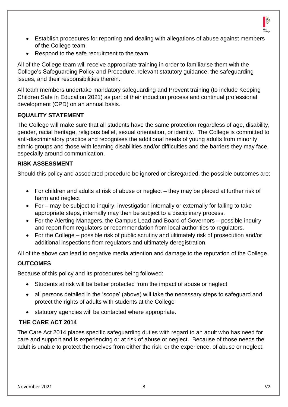

- Establish procedures for reporting and dealing with allegations of abuse against members of the College team
- Respond to the safe recruitment to the team.

All of the College team will receive appropriate training in order to familiarise them with the College's Safeguarding Policy and Procedure, relevant statutory guidance, the safeguarding issues, and their responsibilities therein.

All team members undertake mandatory safeguarding and Prevent training (to include Keeping Children Safe in Education 2021) as part of their induction process and continual professional development (CPD) on an annual basis.

## **EQUALITY STATEMENT**

The College will make sure that all students have the same protection regardless of age, disability, gender, racial heritage, religious belief, sexual orientation, or identity. The College is committed to anti-discriminatory practice and recognises the additional needs of young adults from minority ethnic groups and those with learning disabilities and/or difficulties and the barriers they may face, especially around communication.

#### **RISK ASSESSMENT**

Should this policy and associated procedure be ignored or disregarded, the possible outcomes are:

- For children and adults at risk of abuse or neglect they may be placed at further risk of harm and neglect
- For may be subject to inquiry, investigation internally or externally for failing to take appropriate steps, internally may then be subject to a disciplinary process.
- For the Alerting Managers, the Campus Lead and Board of Governors possible inquiry and report from regulators or recommendation from local authorities to regulators.
- For the College possible risk of public scrutiny and ultimately risk of prosecution and/or additional inspections from regulators and ultimately deregistration.

All of the above can lead to negative media attention and damage to the reputation of the College.

#### **OUTCOMES**

Because of this policy and its procedures being followed:

- Students at risk will be better protected from the impact of abuse or neglect
- all persons detailed in the 'scope' (above) will take the necessary steps to safeguard and protect the rights of adults with students at the College
- statutory agencies will be contacted where appropriate.

#### **THE CARE ACT 2014**

The Care Act 2014 places specific safeguarding duties with regard to an adult who has need for care and support and is experiencing or at risk of abuse or neglect. Because of those needs the adult is unable to protect themselves from either the risk, or the experience, of abuse or neglect.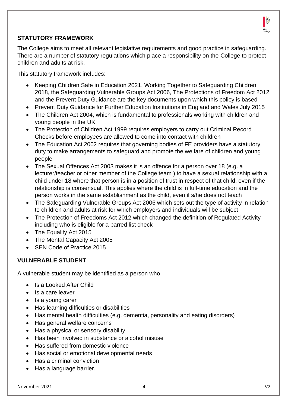

## **STATUTORY FRAMEWORK**

The College aims to meet all relevant legislative requirements and good practice in safeguarding. There are a number of statutory regulations which place a responsibility on the College to protect children and adults at risk.

This statutory framework includes:

- Keeping Children Safe in Education 2021, Working Together to Safeguarding Children 2018, the Safeguarding Vulnerable Groups Act 2006, The Protections of Freedom Act 2012 and the Prevent Duty Guidance are the key documents upon which this policy is based
- Prevent Duty Guidance for Further Education Institutions in England and Wales July 2015
- The Children Act 2004, which is fundamental to professionals working with children and young people in the UK
- The Protection of Children Act 1999 requires employers to carry out Criminal Record Checks before employees are allowed to come into contact with children
- The Education Act 2002 requires that governing bodies of FE providers have a statutory duty to make arrangements to safeguard and promote the welfare of children and young people
- The Sexual Offences Act 2003 makes it is an offence for a person over 18 (e.g. a lecturer/teacher or other member of the College team ) to have a sexual relationship with a child under 18 where that person is in a position of trust in respect of that child, even if the relationship is consensual. This applies where the child is in full-time education and the person works in the same establishment as the child, even if s/he does not teach
- The Safeguarding Vulnerable Groups Act 2006 which sets out the type of activity in relation to children and adults at risk for which employers and individuals will be subject
- The Protection of Freedoms Act 2012 which changed the definition of Regulated Activity including who is eligible for a barred list check
- The Equality Act 2015
- The Mental Capacity Act 2005
- SEN Code of Practice 2015

#### **VULNERABLE STUDENT**

A vulnerable student may be identified as a person who:

- Is a Looked After Child
- Is a care leaver
- Is a young carer
- Has learning difficulties or disabilities
- Has mental health difficulties (e.g. dementia, personality and eating disorders)
- Has general welfare concerns
- Has a physical or sensory disability
- Has been involved in substance or alcohol misuse
- Has suffered from domestic violence
- Has social or emotional developmental needs
- Has a criminal conviction
- Has a language barrier.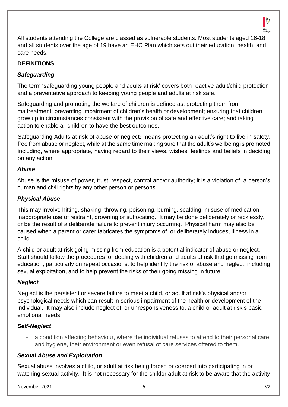

All students attending the College are classed as vulnerable students. Most students aged 16-18 and all students over the age of 19 have an EHC Plan which sets out their education, health, and care needs.

#### **DEFINITIONS**

#### *Safeguarding*

The term 'safeguarding young people and adults at risk' covers both reactive adult/child protection and a preventative approach to keeping young people and adults at risk safe.

Safeguarding and promoting the welfare of children is defined as: protecting them from maltreatment; preventing impairment of children's health or development; ensuring that children grow up in circumstances consistent with the provision of safe and effective care; and taking action to enable all children to have the best outcomes.

Safeguarding Adults at risk of abuse or neglect**:** means protecting an adult's right to live in safety, free from abuse or neglect, while at the same time making sure that the adult's wellbeing is promoted including, where appropriate, having regard to their views, wishes, feelings and beliefs in deciding on any action.

#### *Abuse*

Abuse is the misuse of power, trust, respect, control and/or authority; it is a violation of a person's human and civil rights by any other person or persons.

#### *Physical Abuse*

This may involve hitting, shaking, throwing, poisoning, burning, scalding, misuse of medication, inappropriate use of restraint, drowning or suffocating. It may be done deliberately or recklessly, or be the result of a deliberate failure to prevent injury occurring. Physical harm may also be caused when a parent or carer fabricates the symptoms of, or deliberately induces, illness in a child.

A child or adult at risk going missing from education is a potential indicator of abuse or neglect. Staff should follow the procedures for dealing with children and adults at risk that go missing from education, particularly on repeat occasions, to help identify the risk of abuse and neglect, including sexual exploitation, and to help prevent the risks of their going missing in future.

#### *Neglect*

Neglect is the persistent or severe failure to meet a child, or adult at risk's physical and/or psychological needs which can result in serious impairment of the health or development of the individual. It may also include neglect of, or unresponsiveness to, a child or adult at risk's basic emotional needs

#### *Self-Neglect*

- a condition affecting behaviour, where the individual refuses to attend to their personal care and hygiene, their environment or even refusal of care services offered to them.

#### *Sexual Abuse and Exploitation*

Sexual abuse involves a child, or adult at risk being forced or coerced into participating in or watching sexual activity. It is not necessary for the childor adult at risk to be aware that the activity

November 2021 5 V2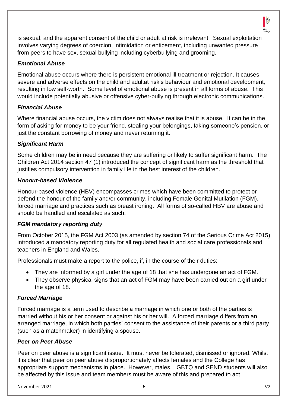

is sexual, and the apparent consent of the child or adult at risk is irrelevant. Sexual exploitation involves varying degrees of coercion, intimidation or enticement, including unwanted pressure from peers to have sex, sexual bullying including cyberbullying and grooming.

## *Emotional Abuse*

Emotional abuse occurs where there is persistent emotional ill treatment or rejection. It causes severe and adverse effects on the child and adultat risk's behaviour and emotional development, resulting in low self-worth. Some level of emotional abuse is present in all forms of abuse. This would include potentially abusive or offensive cyber-bullying through electronic communications.

### *Financial Abuse*

Where financial abuse occurs, the victim does not always realise that it is abuse. It can be in the form of asking for money to be your friend, stealing your belongings, taking someone's pension, or just the constant borrowing of money and never returning it.

#### *Significant Harm*

Some children may be in need because they are suffering or likely to suffer significant harm. The Children Act 2014 section 47 (1) introduced the concept of significant harm as the threshold that justifies compulsory intervention in family life in the best interest of the children.

#### *Honour-based Violence*

Honour-based violence (HBV) encompasses crimes which have been committed to protect or defend the honour of the family and/or community, including Female Genital Mutilation (FGM), forced marriage and practices such as breast ironing. All forms of so-called HBV are abuse and should be handled and escalated as such.

#### *FGM mandatory reporting duty*

From October 2015, the FGM Act 2003 (as amended by section 74 of the Serious Crime Act 2015) introduced a mandatory reporting duty for all regulated health and social care professionals and teachers in England and Wales.

Professionals must make a report to the police, if, in the course of their duties:

- They are informed by a girl under the age of 18 that she has undergone an act of FGM.
- They observe physical signs that an act of FGM may have been carried out on a girl under the age of 18.

#### *Forced Marriage*

Forced marriage is a term used to describe a marriage in which one or both of the parties is married without his or her consent or against his or her will. A forced marriage differs from an arranged marriage, in which both parties' consent to the assistance of their parents or a third party (such as a matchmaker) in identifying a spouse.

#### *Peer on Peer Abuse*

Peer on peer abuse is a significant issue. It must never be tolerated, dismissed or ignored. Whilst it is clear that peer on peer abuse disproportionately affects females and the College has appropriate support mechanisms in place. However, males, LGBTQ and SEND students will also be affected by this issue and team members must be aware of this and prepared to act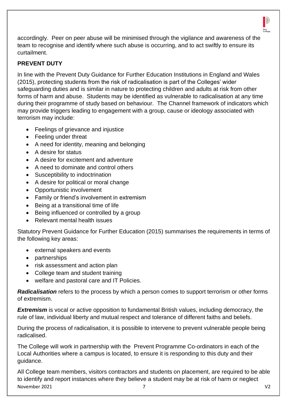

accordingly. Peer on peer abuse will be minimised through the vigilance and awareness of the team to recognise and identify where such abuse is occurring, and to act swiftly to ensure its curtailment.

## **PREVENT DUTY**

In line with the Prevent Duty Guidance for Further Education Institutions in England and Wales (2015), protecting students from the risk of radicalisation is part of the Colleges' wider safeguarding duties and is similar in nature to protecting children and adults at risk from other forms of harm and abuse. Students may be identified as vulnerable to radicalisation at any time during their programme of study based on behaviour. The Channel framework of indicators which may provide triggers leading to engagement with a group, cause or ideology associated with terrorism may include:

- Feelings of grievance and injustice
- Feeling under threat
- A need for identity, meaning and belonging
- A desire for status
- A desire for excitement and adventure
- A need to dominate and control others
- Susceptibility to indoctrination
- A desire for political or moral change
- Opportunistic involvement
- Family or friend's involvement in extremism
- Being at a transitional time of life
- Being influenced or controlled by a group
- Relevant mental health issues

Statutory Prevent Guidance for Further Education (2015) summarises the requirements in terms of the following key areas:

- external speakers and events
- partnerships
- risk assessment and action plan
- College team and student training
- welfare and pastoral care and IT Policies.

*Radicalisation* refers to the process by which a person comes to support terrorism or other forms of extremism.

**Extremism** is vocal or active opposition to fundamental British values, including democracy, the rule of law, individual liberty and mutual respect and tolerance of different faiths and beliefs.

During the process of radicalisation, it is possible to intervene to prevent vulnerable people being radicalised.

The College will work in partnership with the Prevent Programme Co-ordinators in each of the Local Authorities where a campus is located, to ensure it is responding to this duty and their guidance.

November 2021 7 V2 All College team members, visitors contractors and students on placement, are required to be able to identify and report instances where they believe a student may be at risk of harm or neglect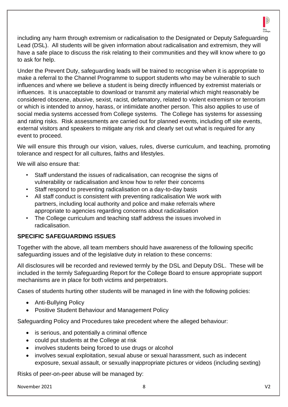

including any harm through extremism or radicalisation to the Designated or Deputy Safeguarding Lead (DSL). All students will be given information about radicalisation and extremism, they will have a safe place to discuss the risk relating to their communities and they will know where to go to ask for help.

Under the Prevent Duty, safeguarding leads will be trained to recognise when it is appropriate to make a referral to the Channel Programme to support students who may be vulnerable to such influences and where we believe a student is being directly influenced by extremist materials or influences. It is unacceptable to download or transmit any material which might reasonably be considered obscene, abusive, sexist, racist, defamatory, related to violent extremism or terrorism or which is intended to annoy, harass, or intimidate another person. This also applies to use of social media systems accessed from College systems. The College has systems for assessing and rating risks. Risk assessments are carried out for planned events, including off site events, external visitors and speakers to mitigate any risk and clearly set out what is required for any event to proceed.

We will ensure this through our vision, values, rules, diverse curriculum, and teaching, promoting tolerance and respect for all cultures, faiths and lifestyles.

We will also ensure that:

- Staff understand the issues of radicalisation, can recognise the signs of vulnerability or radicalisation and know how to refer their concerns
- Staff respond to preventing radicalisation on a day-to-day basis
- All staff conduct is consistent with preventing radicalisation We work with partners, including local authority and police and make referrals where appropriate to agencies regarding concerns about radicalisation
- The College curriculum and teaching staff address the issues involved in radicalisation.

## **SPECIFIC SAFEGUARDING ISSUES**

Together with the above, all team members should have awareness of the following specific safeguarding issues and of the legislative duty in relation to these concerns:

All disclosures will be recorded and reviewed termly by the DSL and Deputy DSL. These will be included in the termly Safeguarding Report for the College Board to ensure appropriate support mechanisms are in place for both victims and perpetrators.

Cases of students hurting other students will be managed in line with the following policies:

- Anti-Bullying Policy
- Positive Student Behaviour and Management Policy

Safeguarding Policy and Procedures take precedent where the alleged behaviour:

- is serious, and potentially a criminal offence
- could put students at the College at risk
- involves students being forced to use drugs or alcohol
- involves sexual exploitation, sexual abuse or sexual harassment, such as indecent exposure, sexual assault, or sexually inappropriate pictures or videos (including sexting)

Risks of peer-on-peer abuse will be managed by: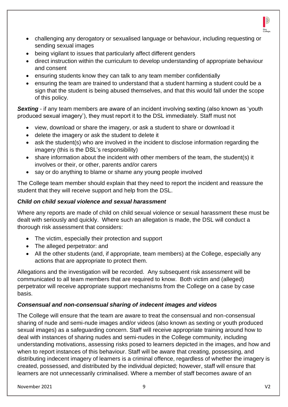

- challenging any derogatory or sexualised language or behaviour, including requesting or sending sexual images
- being vigilant to issues that particularly affect different genders
- direct instruction within the curriculum to develop understanding of appropriate behaviour and consent
- ensuring students know they can talk to any team member confidentially
- ensuring the team are trained to understand that a student harming a student could be a sign that the student is being abused themselves, and that this would fall under the scope of this policy.

**Sexting** - if any team members are aware of an incident involving sexting (also known as 'youth produced sexual imagery'), they must report it to the DSL immediately. Staff must not

- view, download or share the imagery, or ask a student to share or download it
- delete the imagery or ask the student to delete it
- ask the student(s) who are involved in the incident to disclose information regarding the imagery (this is the DSL's responsibility)
- share information about the incident with other members of the team, the student(s) it involves or their, or other, parents and/or carers
- say or do anything to blame or shame any young people involved

The College team member should explain that they need to report the incident and reassure the student that they will receive support and help from the DSL.

### *Child on child sexual violence and sexual harassment*

Where any reports are made of child on child sexual violence or sexual harassment these must be dealt with seriously and quickly. Where such an allegation is made, the DSL will conduct a thorough risk assessment that considers:

- The victim, especially their protection and support
- The alleged perpetrator: and
- All the other students (and, if appropriate, team members) at the College, especially any actions that are appropriate to protect them.

Allegations and the investigation will be recorded. Any subsequent risk assessment will be communicated to all team members that are required to know. Both victim and (alleged) perpetrator will receive appropriate support mechanisms from the College on a case by case basis.

#### *Consensual and non-consensual sharing of indecent images and videos*

The College will ensure that the team are aware to treat the consensual and non-consensual sharing of nude and semi-nude images and/or videos (also known as sexting or youth produced sexual images) as a safeguarding concern. Staff will receive appropriate training around how to deal with instances of sharing nudes and semi-nudes in the College community, including understanding motivations, assessing risks posed to learners depicted in the images, and how and when to report instances of this behaviour. Staff will be aware that creating, possessing, and distributing indecent imagery of learners is a criminal offence, regardless of whether the imagery is created, possessed, and distributed by the individual depicted; however, staff will ensure that learners are not unnecessarily criminalised. Where a member of staff becomes aware of an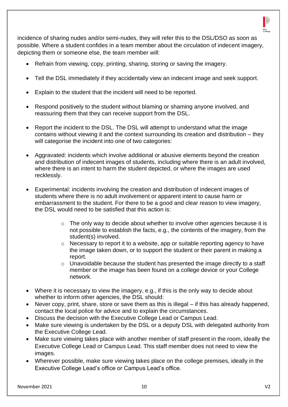

incidence of sharing nudes and/or semi-nudes, they will refer this to the DSL/DSO as soon as possible. Where a student confides in a team member about the circulation of indecent imagery, depicting them or someone else, the team member will:

- Refrain from viewing, copy, printing, sharing, storing or saving the imagery.
- Tell the DSL immediately if they accidentally view an indecent image and seek support.
- Explain to the student that the incident will need to be reported.
- Respond positively to the student without blaming or shaming anyone involved, and reassuring them that they can receive support from the DSL.
- Report the incident to the DSL. The DSL will attempt to understand what the image contains without viewing it and the context surrounding its creation and distribution – they will categorise the incident into one of two categories:
- Aggravated: incidents which involve additional or abusive elements beyond the creation and distribution of indecent images of students, including where there is an adult involved, where there is an intent to harm the student depicted, or where the images are used recklessly.
- Experimental: incidents involving the creation and distribution of indecent images of students where there is no adult involvement or apparent intent to cause harm or embarrassment to the student. For there to be a good and clear reason to view imagery, the DSL would need to be satisfied that this action is:
	- $\circ$  The only way to decide about whether to involve other agencies because it is not possible to establish the facts, e.g., the contents of the imagery, from the student(s) involved.
	- o Necessary to report it to a website, app or suitable reporting agency to have the image taken down, or to support the student or their parent in making a report.
	- $\circ$  Unavoidable because the student has presented the image directly to a staff member or the image has been found on a college device or your College network.
- Where it is necessary to view the imagery, e.g., if this is the only way to decide about whether to inform other agencies, the DSL should:
- Never copy, print, share, store or save them as this is illegal if this has already happened, contact the local police for advice and to explain the circumstances.
- Discuss the decision with the Executive College Lead or Campus Lead.
- Make sure viewing is undertaken by the DSL or a deputy DSL with delegated authority from the Executive College Lead.
- Make sure viewing takes place with another member of staff present in the room, ideally the Executive College Lead or Campus Lead. This staff member does not need to view the images.
- Wherever possible, make sure viewing takes place on the college premises, ideally in the Executive College Lead's office or Campus Lead's office.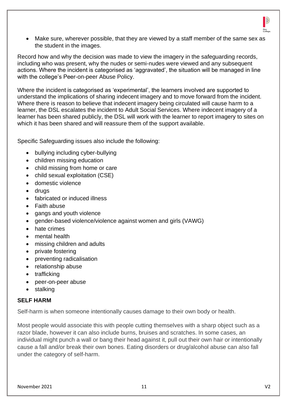

• Make sure, wherever possible, that they are viewed by a staff member of the same sex as the student in the images.

Record how and why the decision was made to view the imagery in the safeguarding records, including who was present, why the nudes or semi-nudes were viewed and any subsequent actions. Where the incident is categorised as 'aggravated', the situation will be managed in line with the college's Peer-on-peer Abuse Policy.

Where the incident is categorised as 'experimental', the learners involved are supported to understand the implications of sharing indecent imagery and to move forward from the incident. Where there is reason to believe that indecent imagery being circulated will cause harm to a learner, the DSL escalates the incident to Adult Social Services. Where indecent imagery of a learner has been shared publicly, the DSL will work with the learner to report imagery to sites on which it has been shared and will reassure them of the support available.

Specific Safeguarding issues also include the following:

- bullying including cyber-bullying
- children missing education
- child missing from home or care
- child sexual exploitation (CSE)
- domestic violence
- drugs
- fabricated or induced illness
- Faith abuse
- gangs and youth violence
- gender-based violence/violence against women and girls (VAWG)
- hate crimes
- mental health
- missing children and adults
- private fostering
- preventing radicalisation
- relationship abuse
- trafficking
- peer-on-peer abuse
- stalking

#### **SELF HARM**

Self-harm is when someone intentionally causes damage to their own body or health.

Most people would associate this with people cutting themselves with a sharp object such as a razor blade, however it can also include burns, bruises and scratches. In some cases, an individual might punch a wall or bang their head against it, pull out their own hair or intentionally cause a fall and/or break their own bones. Eating disorders or drug/alcohol abuse can also fall under the category of self-harm.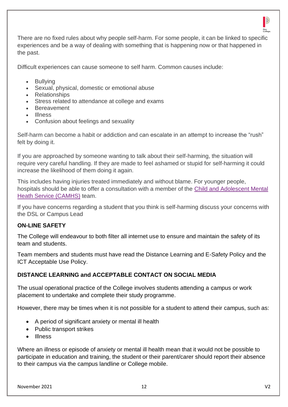

There are no fixed rules about why people self-harm. For some people, it can be linked to specific experiences and be a way of dealing with something that is happening now or that happened in the past.

Difficult experiences can cause someone to self harm. Common causes include:

- Bullying
- Sexual, physical, domestic or emotional abuse
- Relationships
- Stress related to attendance at college and exams
- Bereavement
- Illness
- Confusion about feelings and sexuality

Self-harm can become a habit or addiction and can escalate in an attempt to increase the "rush" felt by doing it.

If you are approached by someone wanting to talk about their self-harming, the situation will require very careful handling. If they are made to feel ashamed or stupid for self-harming it could increase the likelihood of them doing it again.

This includes having injuries treated immediately and without blame. For younger people, hospitals should be able to offer a consultation with a member of the [Child and Adolescent Mental](http://www.youngminds.org.uk/for_parents/services_children_young_people/camhs/what_are_cahms)  [Heath Service \(CAMHS\)](http://www.youngminds.org.uk/for_parents/services_children_young_people/camhs/what_are_cahms) team.

If you have concerns regarding a student that you think is self-harming discuss your concerns with the DSL or Campus Lead

#### **ON-LINE SAFETY**

The College will endeavour to both filter all internet use to ensure and maintain the safety of its team and students.

Team members and students must have read the Distance Learning and E-Safety Policy and the ICT Acceptable Use Policy.

#### **DISTANCE LEARNING and ACCEPTABLE CONTACT ON SOCIAL MEDIA**

The usual operational practice of the College involves students attending a campus or work placement to undertake and complete their study programme.

However, there may be times when it is not possible for a student to attend their campus, such as:

- A period of significant anxiety or mental ill health
- Public transport strikes
- Illness

Where an illness or episode of anxiety or mental ill health mean that it would not be possible to participate in education and training, the student or their parent/carer should report their absence to their campus via the campus landline or College mobile.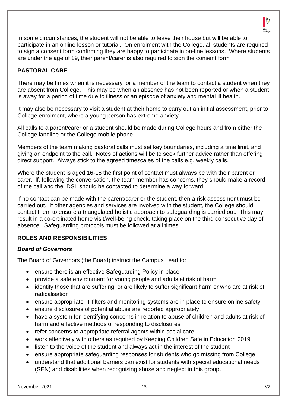

In some circumstances, the student will not be able to leave their house but will be able to participate in an online lesson or tutorial. On enrolment with the College, all students are required to sign a consent form confirming they are happy to participate in on-line lessons. Where students are under the age of 19, their parent/carer is also required to sign the consent form

## **PASTORAL CARE**

There may be times when it is necessary for a member of the team to contact a student when they are absent from College. This may be when an absence has not been reported or when a student is away for a period of time due to illness or an episode of anxiety and mental ill health.

It may also be necessary to visit a student at their home to carry out an initial assessment, prior to College enrolment, where a young person has extreme anxiety.

All calls to a parent/carer or a student should be made during College hours and from either the College landline or the College mobile phone.

Members of the team making pastoral calls must set key boundaries, including a time limit, and giving an endpoint to the call. Notes of actions will be to seek further advice rather than offering direct support. Always stick to the agreed timescales of the calls e.g. weekly calls.

Where the student is aged 16-18 the first point of contact must always be with their parent or carer. If, following the conversation, the team member has concerns, they should make a record of the call and the DSL should be contacted to determine a way forward.

If no contact can be made with the parent/carer or the student, then a risk assessment must be carried out. If other agencies and services are involved with the student, the College should contact them to ensure a triangulated holistic approach to safeguarding is carried out. This may result in a co-ordinated home visit/well-being check, taking place on the third consecutive day of absence. Safeguarding protocols must be followed at all times.

## **ROLES AND RESPONSIBILITIES**

#### *Board of Governors*

The Board of Governors (the Board) instruct the Campus Lead to:

- ensure there is an effective Safeguarding Policy in place
- provide a safe environment for young people and adults at risk of harm
- identify those that are suffering, or are likely to suffer significant harm or who are at risk of radicalisation
- ensure appropriate IT filters and monitoring systems are in place to ensure online safety
- ensure disclosures of potential abuse are reported appropriately
- have a system for identifying concerns in relation to abuse of children and adults at risk of harm and effective methods of responding to disclosures
- refer concerns to appropriate referral agents within social care
- work effectively with others as required by Keeping Children Safe in Education 2019
- listen to the voice of the student and always act in the interest of the student
- ensure appropriate safeguarding responses for students who go missing from College
- understand that additional barriers can exist for students with special educational needs (SEN) and disabilities when recognising abuse and neglect in this group.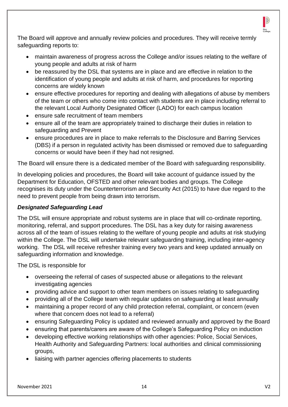

The Board will approve and annually review policies and procedures. They will receive termly safeguarding reports to:

- maintain awareness of progress across the College and/or issues relating to the welfare of young people and adults at risk of harm
- be reassured by the DSL that systems are in place and are effective in relation to the identification of young people and adults at risk of harm, and procedures for reporting concerns are widely known
- ensure effective procedures for reporting and dealing with allegations of abuse by members of the team or others who come into contact with students are in place including referral to the relevant Local Authority Designated Officer (LADO) for each campus location
- ensure safe recruitment of team members
- ensure all of the team are appropriately trained to discharge their duties in relation to safeguarding and Prevent
- ensure procedures are in place to make referrals to the Disclosure and Barring Services (DBS) if a person in regulated activity has been dismissed or removed due to safeguarding concerns or would have been if they had not resigned.

The Board will ensure there is a dedicated member of the Board with safeguarding responsibility.

In developing policies and procedures, the Board will take account of guidance issued by the Department for Education, OFSTED and other relevant bodies and groups. The College recognises its duty under the Counterterrorism and Security Act (2015) to have due regard to the need to prevent people from being drawn into terrorism.

#### *Designated Safeguarding Lead*

The DSL will ensure appropriate and robust systems are in place that will co-ordinate reporting, monitoring, referral, and support procedures. The DSL has a key duty for raising awareness across all of the team of issues relating to the welfare of young people and adults at risk studying within the College. The DSL will undertake relevant safeguarding training, including inter-agency working. The DSL will receive refresher training every two years and keep updated annually on safeguarding information and knowledge.

The DSL is responsible for

- overseeing the referral of cases of suspected abuse or allegations to the relevant investigating agencies
- providing advice and support to other team members on issues relating to safeguarding
- providing all of the College team with regular updates on safeguarding at least annually
- maintaining a proper record of any child protection referral, complaint, or concern (even where that concern does not lead to a referral)
- ensuring Safeguarding Policy is updated and reviewed annually and approved by the Board
- ensuring that parents/carers are aware of the College's Safeguarding Policy on induction
- developing effective working relationships with other agencies: Police, Social Services, Health Authority and Safeguarding Partners: local authorities and clinical commissioning groups,
- liaising with partner agencies offering placements to students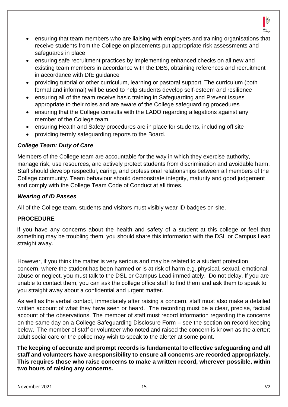

- ensuring that team members who are liaising with employers and training organisations that receive students from the College on placements put appropriate risk assessments and safeguards in place
- ensuring safe recruitment practices by implementing enhanced checks on all new and existing team members in accordance with the DBS, obtaining references and recruitment in accordance with DfE guidance
- providing tutorial or other curriculum, learning or pastoral support. The curriculum (both formal and informal) will be used to help students develop self-esteem and resilience
- ensuring all of the team receive basic training in Safeguarding and Prevent issues appropriate to their roles and are aware of the College safeguarding procedures
- ensuring that the College consults with the LADO regarding allegations against any member of the College team
- ensuring Health and Safety procedures are in place for students, including off site
- providing termly safeguarding reports to the Board.

#### *College Team: Duty of Care*

Members of the College team are accountable for the way in which they exercise authority, manage risk, use resources, and actively protect students from discrimination and avoidable harm. Staff should develop respectful, caring, and professional relationships between all members of the College community. Team behaviour should demonstrate integrity, maturity and good judgement and comply with the College Team Code of Conduct at all times.

#### *Wearing of ID Passes*

All of the College team, students and visitors must visibly wear ID badges on site.

#### **PROCEDURE**

If you have any concerns about the health and safety of a student at this college or feel that something may be troubling them, you should share this information with the DSL or Campus Lead straight away.

However, if you think the matter is very serious and may be related to a student protection concern, where the student has been harmed or is at risk of harm e.g. physical, sexual, emotional abuse or neglect, you must talk to the DSL or Campus Lead immediately. Do not delay. If you are unable to contact them, you can ask the college office staff to find them and ask them to speak to you straight away about a confidential and urgent matter.

As well as the verbal contact, immediately after raising a concern, staff must also make a detailed written account of what they have seen or heard. The recording must be a clear, precise, factual account of the observations. The member of staff must record information regarding the concerns on the same day on a College Safeguarding Disclosure Form – see the section on record keeping below. The member of staff or volunteer who noted and raised the concern is known as the alerter; adult social care or the police may wish to speak to the alerter at some point.

**The keeping of accurate and prompt records is fundamental to effective safeguarding and all staff and volunteers have a responsibility to ensure all concerns are recorded appropriately. This requires those who raise concerns to make a written record, wherever possible, within two hours of raising any concerns.**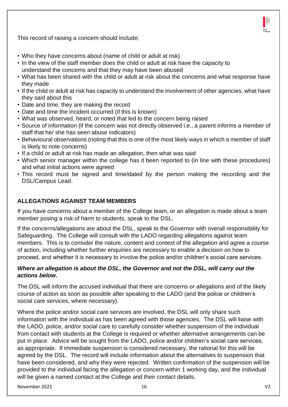This record of raising a concern should include;

- Who they have concerns about (name of child or adult at risk)
- In the view of the staff member does the child or adult at risk have the capacity to understand the concerns and that they may have been abused
- What has been shared with the child or adult at risk about the concerns and what response have they made
- If the child or adult at risk has capacity to understand the involvement of other agencies, what have they said about this
- Date and time, they are making the record
- Date and time the incident occurred (if this is known)
- What was observed, heard, or noted that led to the concern being raised
- Source of information (if the concern was not directly observed i.e., a parent informs a member of staff that he/ she has seen abuse indicators)
- Behavioural observations (noting that this is one of the most likely ways in which a member of staff is likely to note concerns)
- If a child or adult at risk has made an allegation, then what was said
- Which senior manager within the college has it been reported to (in line with these procedures) and what initial actions were agreed
- This record must be signed and time/dated by the person making the recording and the DSL/Campus Lead.

## **ALLEGATIONS AGAINST TEAM MEMBERS**

If you have concerns about a member of the College team, or an allegation is made about a team member posing a risk of harm to students, speak to the DSL.

If the concerns/allegations are about the DSL, speak to the Governor with overall responsibility for Safeguarding. The College will consult with the LADO regarding allegations against team members. This is to consider the nature, content and context of the allegation and agree a course of action, including whether further enquiries are necessary to enable a decision on how to proceed, and whether it is necessary to involve the police and/or children's social care services.

### *Where an allegation is about the DSL, the Governor and not the DSL, will carry out the actions below.*

The DSL will inform the accused individual that there are concerns or allegations and of the likely course of action as soon as possible after speaking to the LADO (and the police or children's social care services, where necessary).

Where the police and/or social care services are involved, the DSL will only share such information with the individual as has been agreed with those agencies. The DSL will liaise with the LADO, police, and/or social care to carefully consider whether suspension of the individual from contact with students at the College is required or whether alternative arrangements can be put in place. Advice will be sought from the LADO, police and/or children's social care services, as appropriate. If immediate suspension is considered necessary, the rational for this will be agreed by the DSL. The record will include information about the alternatives to suspension that have been considered, and why they were rejected. Written confirmation of the suspension will be provided to the individual facing the allegation or concern within 1 working day, and the individual will be given a named contact at the College and their contact details.

D)

Pinc<br>College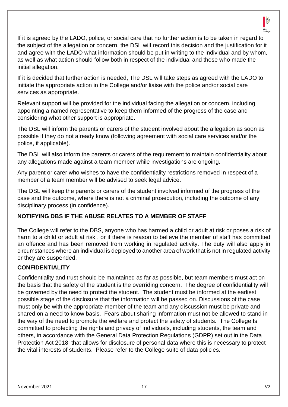

If it is agreed by the LADO, police, or social care that no further action is to be taken in regard to the subject of the allegation or concern, the DSL will record this decision and the justification for it and agree with the LADO what information should be put in writing to the individual and by whom, as well as what action should follow both in respect of the individual and those who made the initial allegation.

If it is decided that further action is needed, The DSL will take steps as agreed with the LADO to initiate the appropriate action in the College and/or liaise with the police and/or social care services as appropriate.

Relevant support will be provided for the individual facing the allegation or concern, including appointing a named representative to keep them informed of the progress of the case and considering what other support is appropriate.

The DSL will inform the parents or carers of the student involved about the allegation as soon as possible if they do not already know (following agreement with social care services and/or the police, if applicable).

The DSL will also inform the parents or carers of the requirement to maintain confidentiality about any allegations made against a team member while investigations are ongoing.

Any parent or carer who wishes to have the confidentiality restrictions removed in respect of a member of a team member will be advised to seek legal advice.

The DSL will keep the parents or carers of the student involved informed of the progress of the case and the outcome, where there is not a criminal prosecution, including the outcome of any disciplinary process (in confidence).

## **NOTIFYING DBS IF THE ABUSE RELATES TO A MEMBER OF STAFF**

The College will refer to the DBS, anyone who has harmed a child or adult at risk or poses a risk of harm to a child or adult at risk , or if there is reason to believe the member of staff has committed an offence and has been removed from working in regulated activity. The duty will also apply in circumstances where an individual is deployed to another area of work that is not in regulated activity or they are suspended.

## **CONFIDENTIALITY**

Confidentiality and trust should be maintained as far as possible, but team members must act on the basis that the safety of the student is the overriding concern. The degree of confidentiality will be governed by the need to protect the student. The student must be informed at the earliest possible stage of the disclosure that the information will be passed on. Discussions of the case must only be with the appropriate member of the team and any discussion must be private and shared on a need to know basis. Fears about sharing information must not be allowed to stand in the way of the need to promote the welfare and protect the safety of students. The College Is committed to protecting the rights and privacy of individuals, including students, the team and others, in accordance with the General Data Protection Regulations (GDPR) set out in the Data Protection Act 2018 that allows for disclosure of personal data where this is necessary to protect the vital interests of students. Please refer to the College suite of data policies.